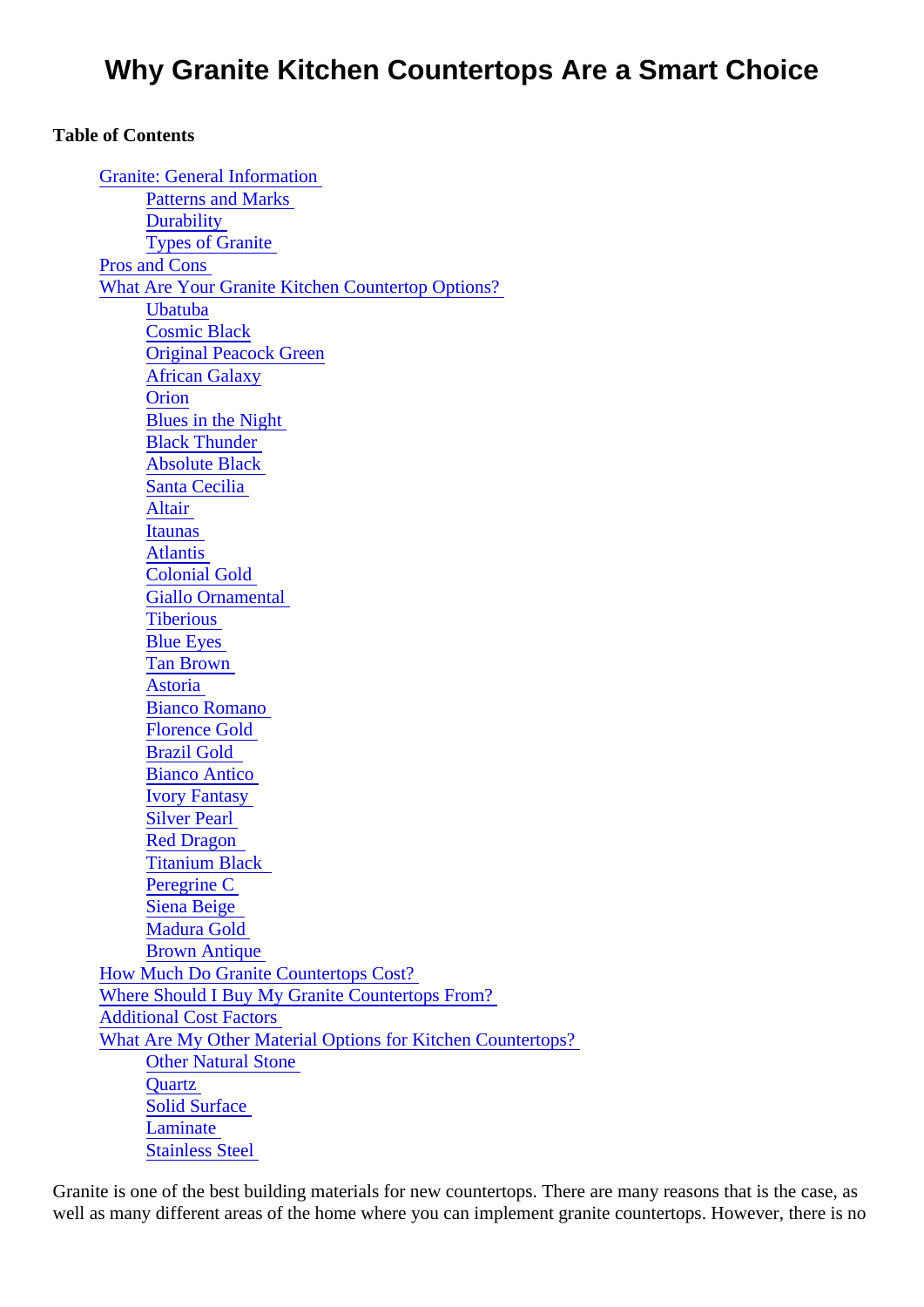# Why Granite Kitchen Countertops Are a Smart Choice

[Granite: General Informatio](#page-1-0)n Patterns and Marks **Durability** Types of Granite Pros and Cons [What Are Your Granite Kitchen Countertop Option](#page-2-0)s? **[Ubatuba](#page-4-0)** [Cosmic Black](#page-4-0) [Original Peacock Gree](#page-5-0)n [African Galaxy](#page-5-0) **[Orion](#page-5-0)** [Blues in the Night](#page-5-0) **Black Thunder** Absolute Black [Santa Cecilia](#page-5-0) **Altair** [Itaunas](#page-6-0) **Atlantis** [Colonial Gold](#page-6-0) [Giallo Ornamenta](#page-6-0)l **[Tiberious](#page-6-0) Blue Eyes** [Tan Brown](#page-6-0) **Astoria** Bianco Romano [Florence Gold](#page-7-0) [Brazil Gold](#page-7-0)  [Bianco Antico](#page-7-0) [Ivory Fantasy](#page-7-0) **[Silver Pearl](#page-7-0)** [Red Dragon](#page-8-0) [Titanium Black](#page-8-0)  [Peregrine C](#page-8-0) [Siena Beige](#page-8-0) [Madura Gold](#page-8-0) [Brown Antique](#page-8-0) How Much Do Granite Countertops Cost? Where Should I Buy My Granite Countertops From? Additional Cost Factors What Are My Other Material Options for Kitchen Countertops? Other Natural Stone **[Quartz](#page-9-0)** Solid Surface [Laminate](#page-10-0) Stainless Steel

Table of Contents

Granite is one of the best building materials for new countertops. There are many reasons that is the case well as many different areas of the home where you can implement granite countertops. However, there is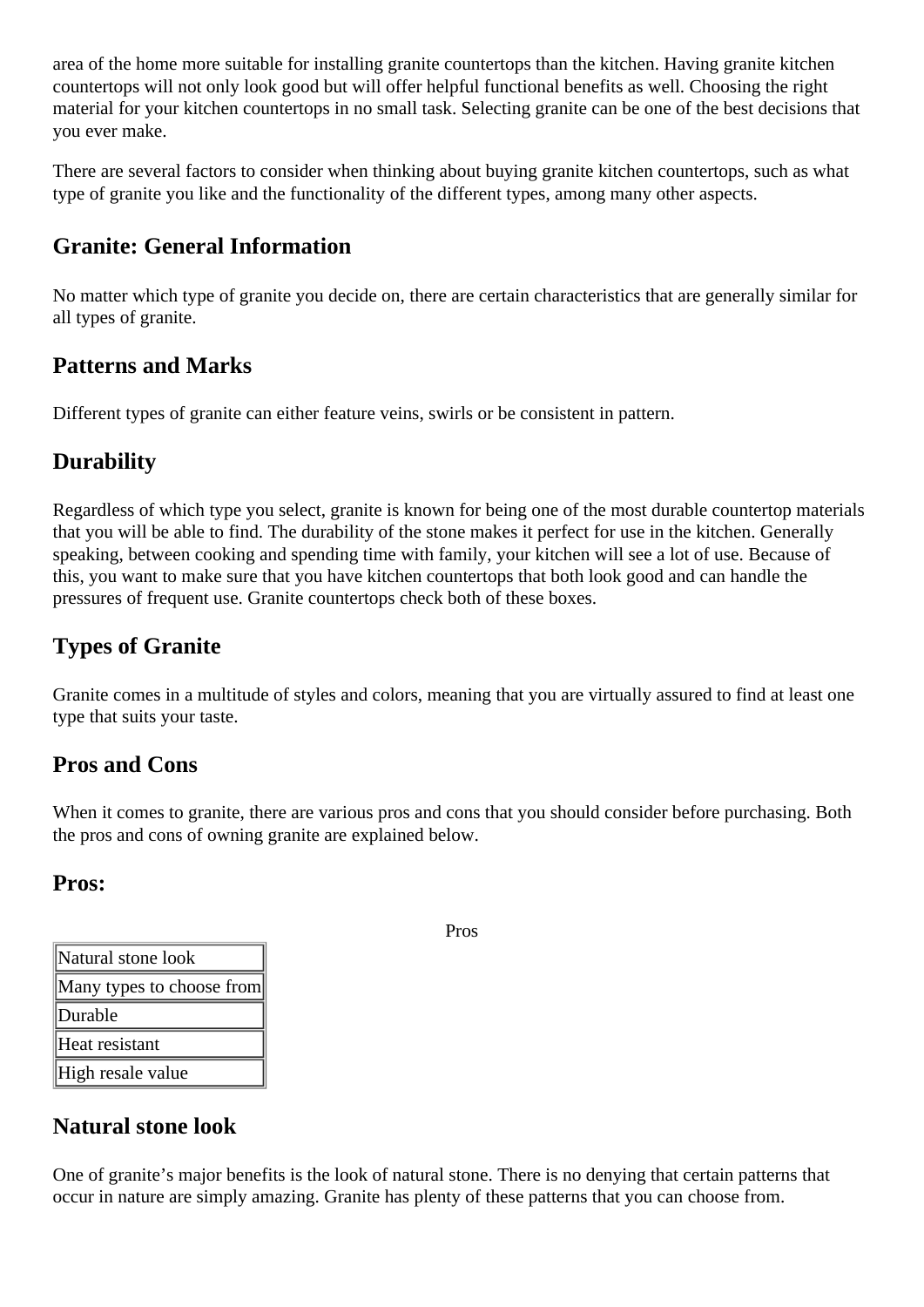<span id="page-1-0"></span>area of the home more suitable for installing granite countertops than the kitchen. Having granite kitchen countertops will not only look good but will offer helpful functional benefits as well. Choosing the right material for your kitchen countertops in no small task. Selecting granite can be one of the best decisions that you ever make.

There are several factors to consider when thinking about buying granite kitchen countertops, such as what type of granite you like and the functionality of the different types, among many other aspects.

## **Granite: General Information**

No matter which type of granite you decide on, there are certain characteristics that are generally similar for all types of granite.

#### **Patterns and Marks**

Different types of granite can either feature veins, swirls or be consistent in pattern.

## **Durability**

Regardless of which type you select, granite is known for being one of the most durable countertop materials that you will be able to find. The durability of the stone makes it perfect for use in the kitchen. Generally speaking, between cooking and spending time with family, your kitchen will see a lot of use. Because of this, you want to make sure that you have kitchen countertops that both look good and can handle the pressures of frequent use. Granite countertops check both of these boxes.

## **Types of Granite**

Granite comes in a multitude of styles and colors, meaning that you are virtually assured to find at least one type that suits your taste.

#### **Pros and Cons**

When it comes to granite, there are various pros and cons that you should consider before purchasing. Both the pros and cons of owning granite are explained below.

#### **Pros:**

| Natural stone look        |
|---------------------------|
| Many types to choose from |
| Durable                   |
| Heat resistant            |
| High resale value         |

# **Natural stone look**

One of granite's major benefits is the look of natural stone. There is no denying that certain patterns that occur in nature are simply amazing. Granite has plenty of these patterns that you can choose from.

Pros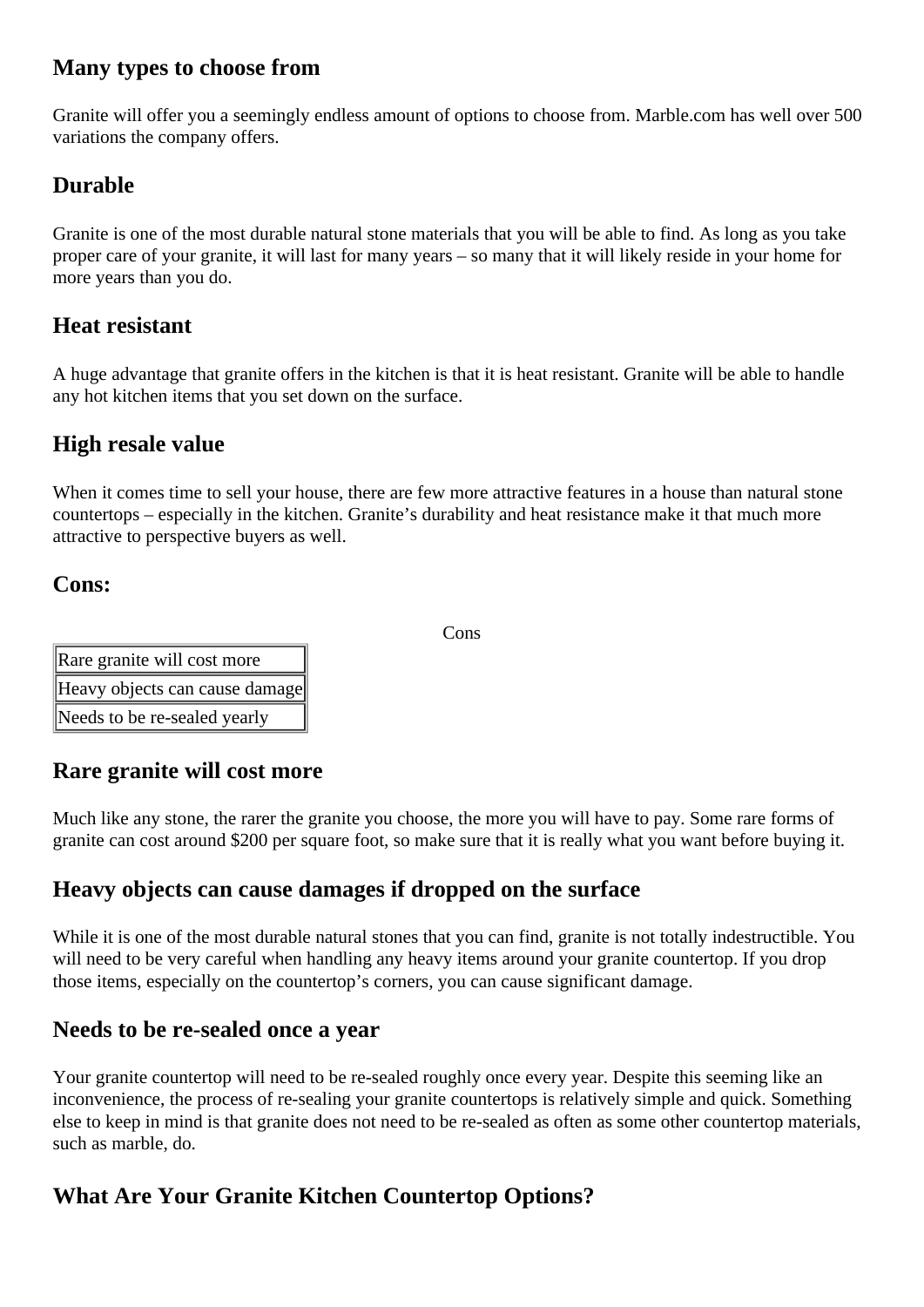#### <span id="page-2-0"></span>**Many types to choose from**

Granite will offer you a seemingly endless amount of options to choose from. Marble.com has well over 500 variations the company offers.

## **Durable**

Granite is one of the most durable natural stone materials that you will be able to find. As long as you take proper care of your granite, it will last for many years – so many that it will likely reside in your home for more years than you do.

## **Heat resistant**

A huge advantage that granite offers in the kitchen is that it is heat resistant. Granite will be able to handle any hot kitchen items that you set down on the surface.

#### **High resale value**

When it comes time to sell your house, there are few more attractive features in a house than natural stone countertops – especially in the kitchen. Granite's durability and heat resistance make it that much more attractive to perspective buyers as well.

#### **Cons:**

Cons

| Rare granite will cost more    |
|--------------------------------|
| Heavy objects can cause damage |
| Needs to be re-sealed yearly   |

## **Rare granite will cost more**

Much like any stone, the rarer the granite you choose, the more you will have to pay. Some rare forms of granite can cost around \$200 per square foot, so make sure that it is really what you want before buying it.

## **Heavy objects can cause damages if dropped on the surface**

While it is one of the most durable natural stones that you can find, granite is not totally indestructible. You will need to be very careful when handling any heavy items around your granite countertop. If you drop those items, especially on the countertop's corners, you can cause significant damage.

#### **Needs to be re-sealed once a year**

Your granite countertop will need to be re-sealed roughly once every year. Despite this seeming like an inconvenience, the process of re-sealing your granite countertops is relatively simple and quick. Something else to keep in mind is that granite does not need to be re-sealed as often as some other countertop materials, such as marble, do.

# **What Are Your Granite Kitchen Countertop Options?**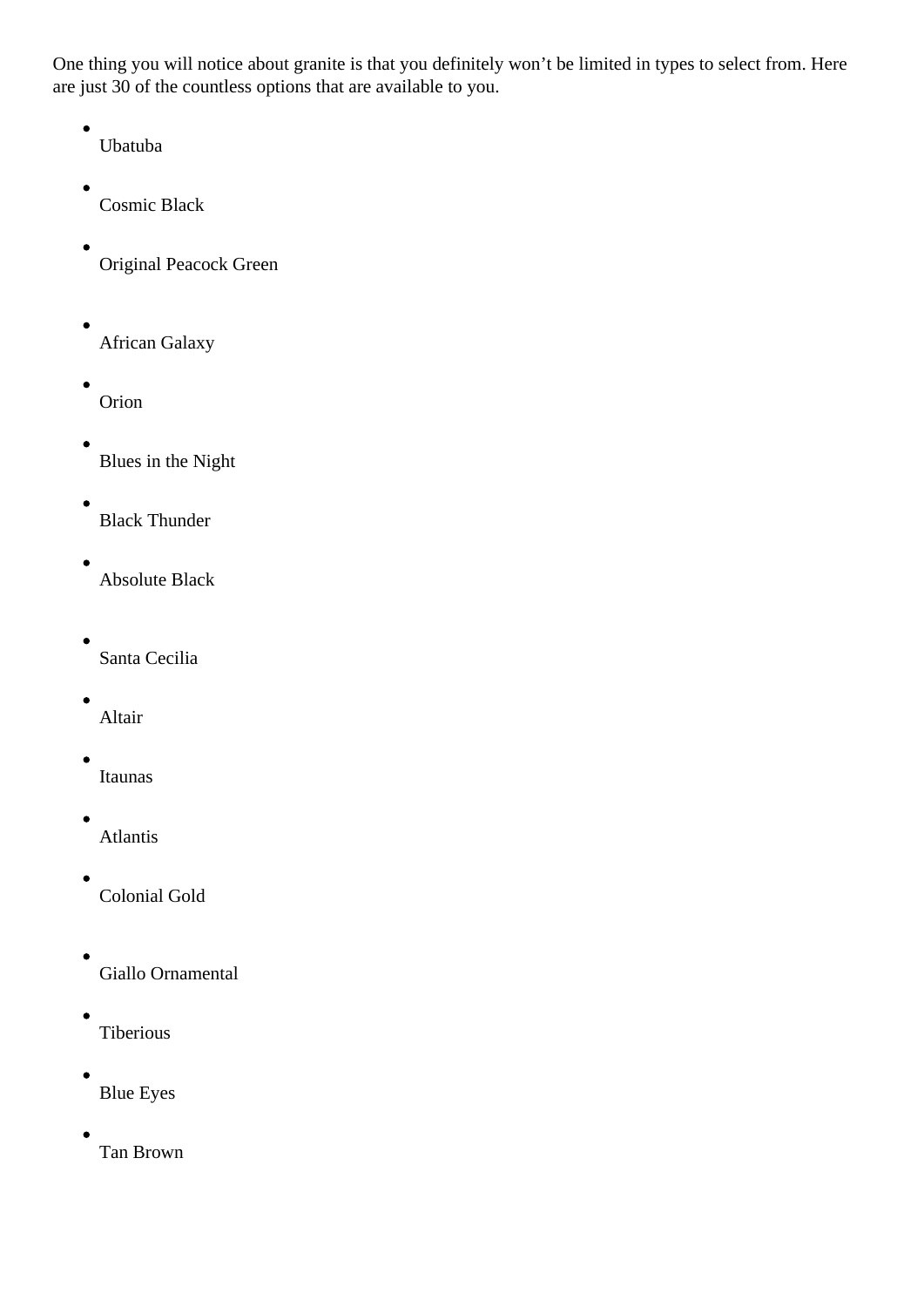One thing you will notice about granite is that you definitely won't be limited in types to select from. Here are just 30 of the countless options that are available to you.

- Ubatuba
- Cosmic Black
- Original Peacock Green
- $\bullet$ African Galaxy
- Orion
- Blues in the Night
- Black Thunder
- Absolute Black
- $\bullet$ Santa Cecilia
- Altair
- Itaunas
- Atlantis
- Colonial Gold
- Giallo Ornamental
- Tiberious
- Blue Eyes
- Tan Brown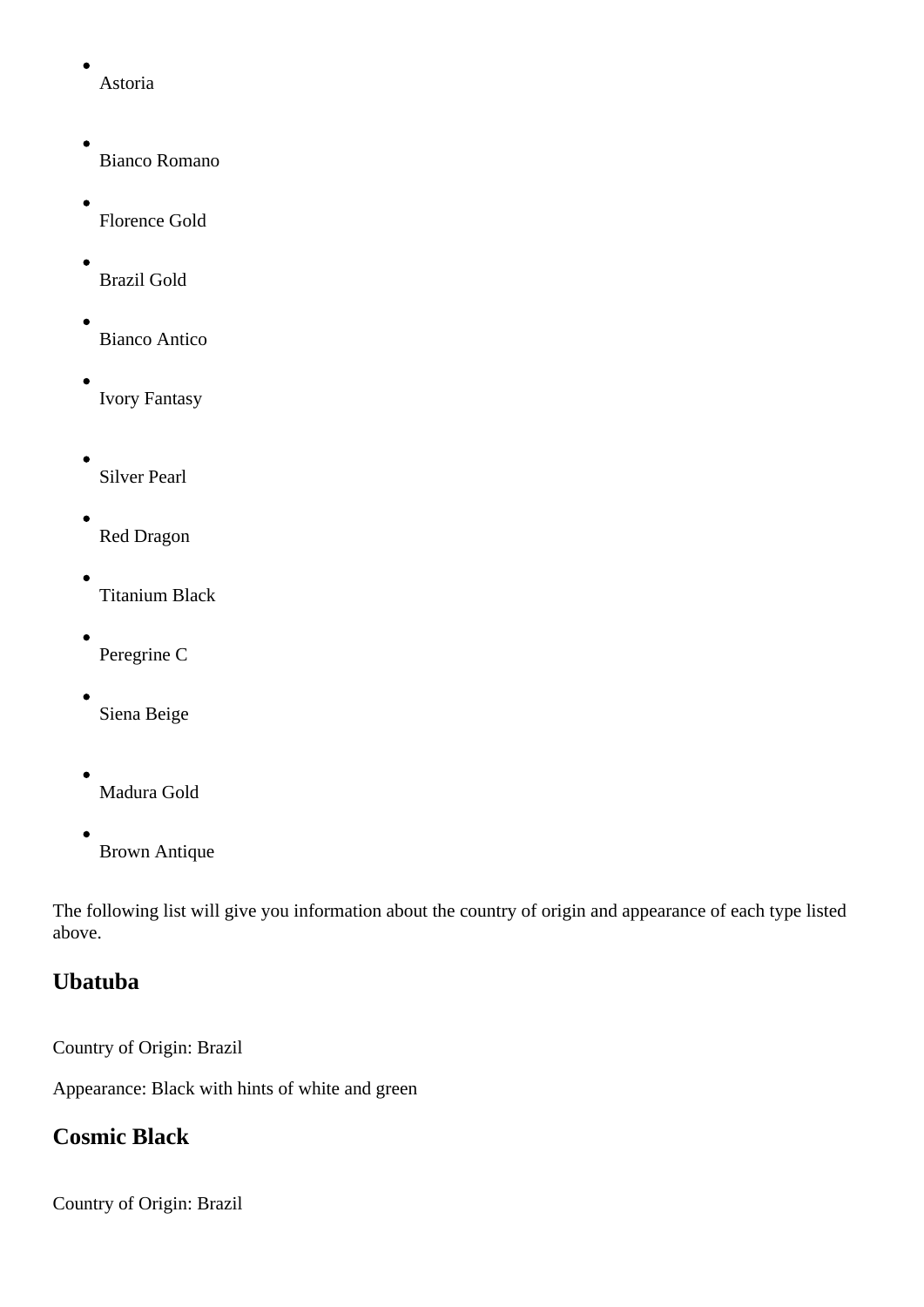<span id="page-4-0"></span>Astoria

- Bianco Romano
- Florence Gold
- Brazil Gold
- Bianco Antico
- Ivory Fantasy
- Silver Pearl
- Red Dragon
- Titanium Black
- Peregrine C
- Siena Beige
- Madura Gold
- Brown Antique

The following list will give you information about the country of origin and appearance of each type listed above.

# **Ubatuba**

Country of Origin: Brazil

Appearance: Black with hints of white and green

# **Cosmic Black**

Country of Origin: Brazil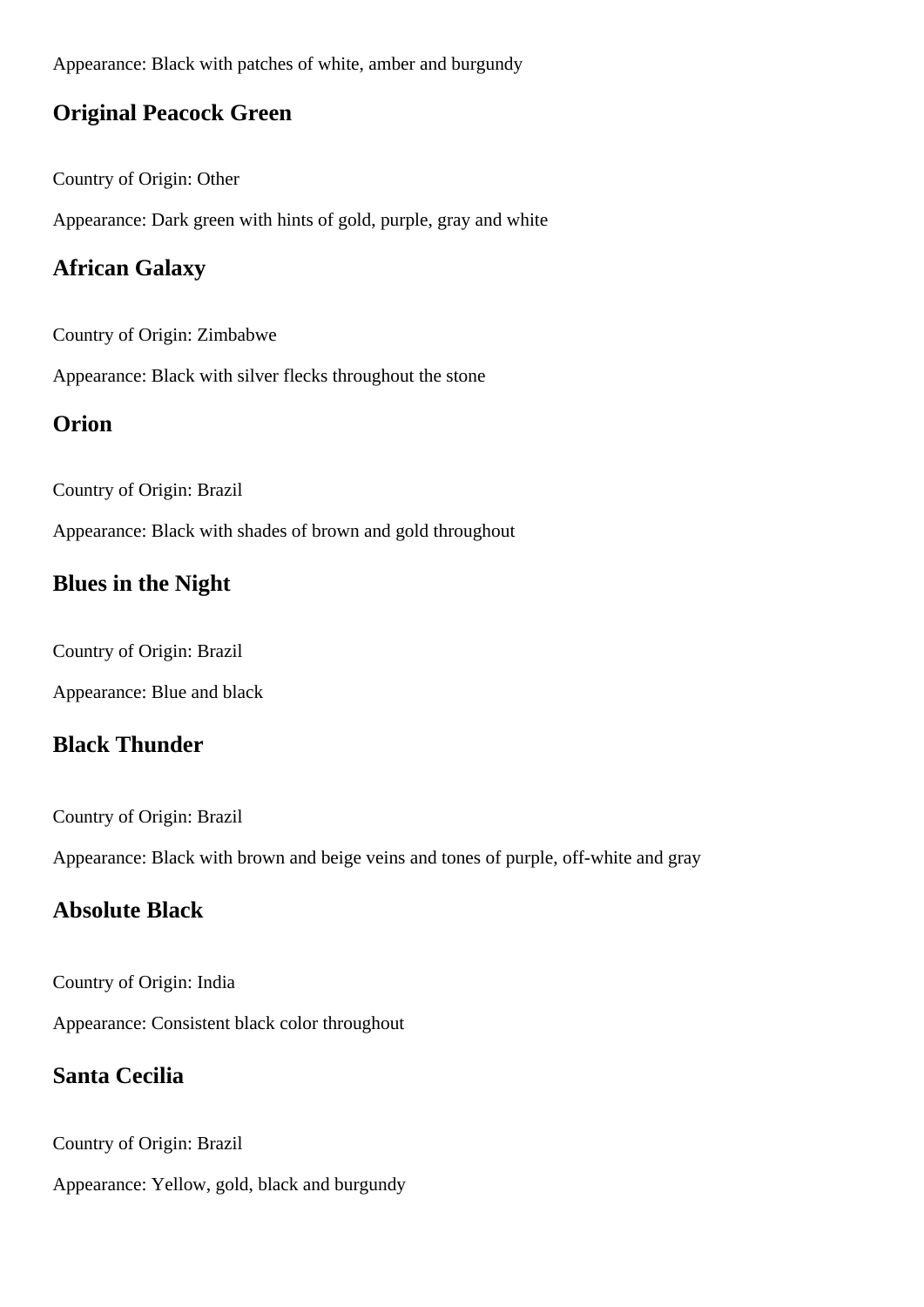<span id="page-5-0"></span>Appearance: Black with patches of white, amber and burgundy

#### **Original Peacock Green**

Country of Origin: Other

Appearance: Dark green with hints of gold, purple, gray and white

## **African Galaxy**

Country of Origin: Zimbabwe

Appearance: Black with silver flecks throughout the stone

## **Orion**

Country of Origin: Brazil

Appearance: Black with shades of brown and gold throughout

#### **Blues in the Night**

Country of Origin: Brazil

Appearance: Blue and black

## **Black Thunder**

Country of Origin: Brazil

Appearance: Black with brown and beige veins and tones of purple, off-white and gray

## **Absolute Black**

Country of Origin: India

Appearance: Consistent black color throughout

## **Santa Cecilia**

Country of Origin: Brazil

Appearance: Yellow, gold, black and burgundy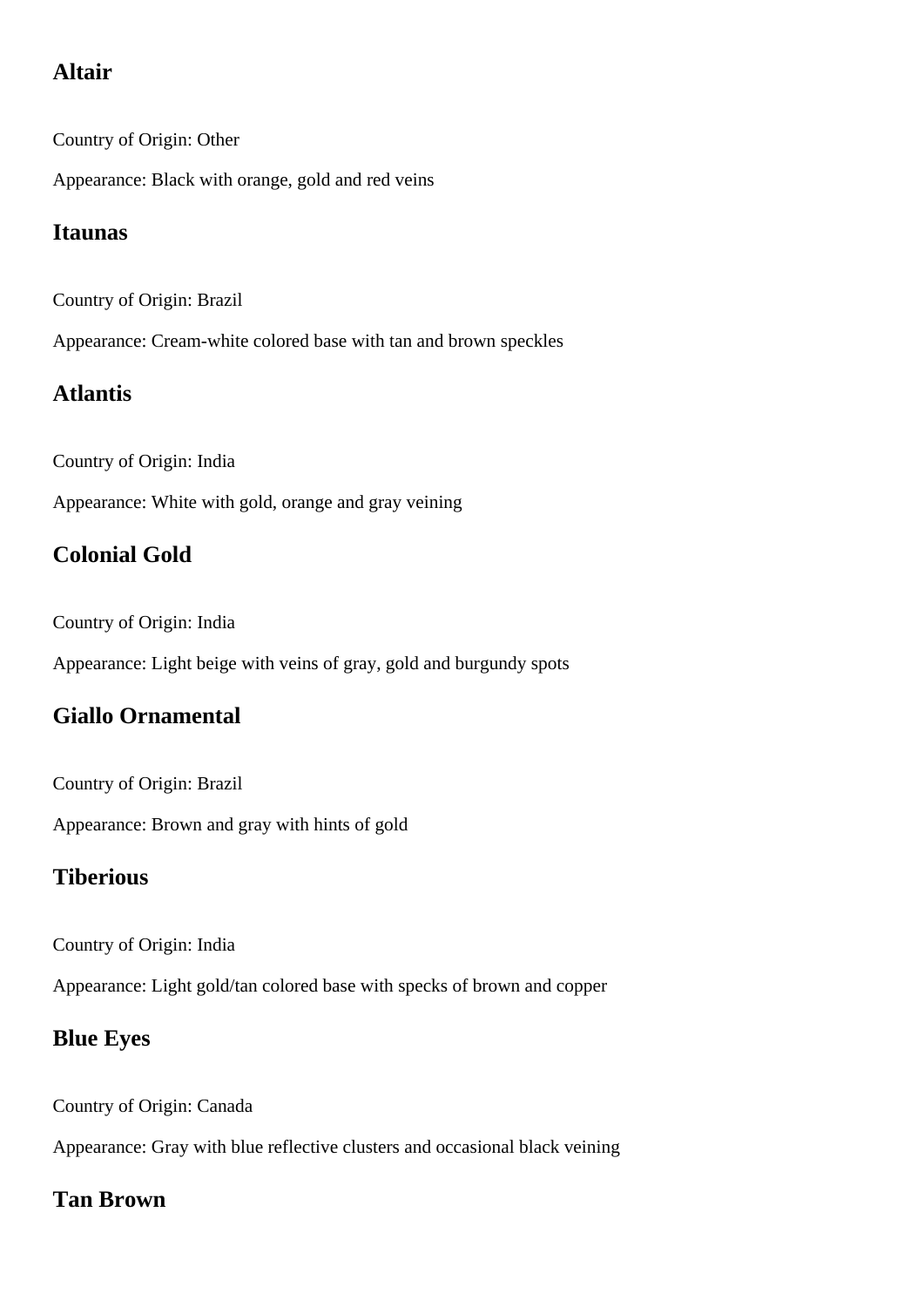# <span id="page-6-0"></span>**Altair**

Country of Origin: Other

Appearance: Black with orange, gold and red veins

## **Itaunas**

Country of Origin: Brazil

Appearance: Cream-white colored base with tan and brown speckles

## **Atlantis**

Country of Origin: India

Appearance: White with gold, orange and gray veining

# **Colonial Gold**

Country of Origin: India

Appearance: Light beige with veins of gray, gold and burgundy spots

## **Giallo Ornamental**

Country of Origin: Brazil

Appearance: Brown and gray with hints of gold

## **Tiberious**

Country of Origin: India

Appearance: Light gold/tan colored base with specks of brown and copper

## **Blue Eyes**

Country of Origin: Canada

Appearance: Gray with blue reflective clusters and occasional black veining

## **Tan Brown**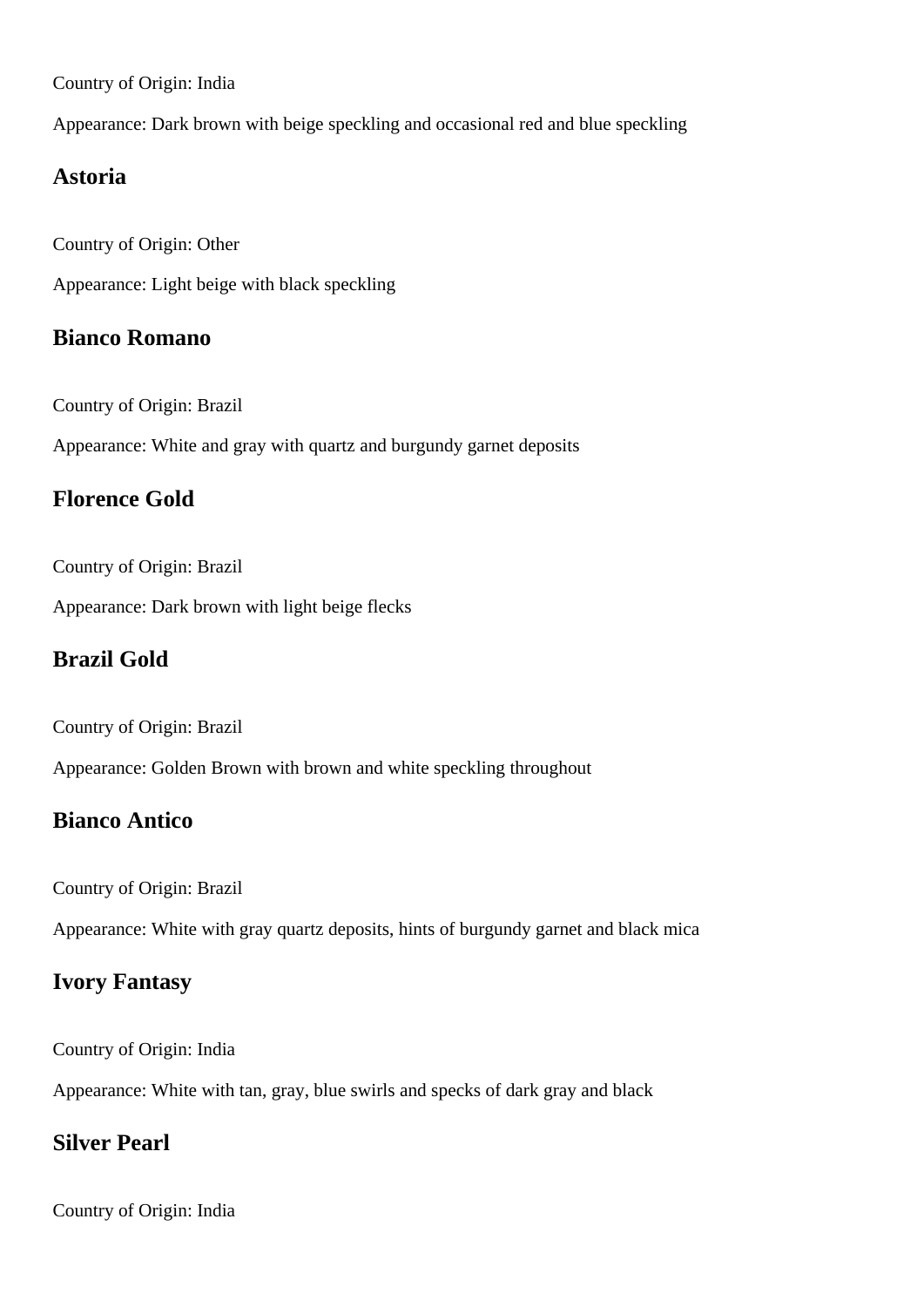<span id="page-7-0"></span>Country of Origin: India

Appearance: Dark brown with beige speckling and occasional red and blue speckling

#### **Astoria**

Country of Origin: Other

Appearance: Light beige with black speckling

#### **Bianco Romano**

Country of Origin: Brazil

Appearance: White and gray with quartz and burgundy garnet deposits

#### **Florence Gold**

Country of Origin: Brazil

Appearance: Dark brown with light beige flecks

#### **Brazil Gold**

Country of Origin: Brazil

Appearance: Golden Brown with brown and white speckling throughout

#### **Bianco Antico**

Country of Origin: Brazil

Appearance: White with gray quartz deposits, hints of burgundy garnet and black mica

#### **Ivory Fantasy**

Country of Origin: India

Appearance: White with tan, gray, blue swirls and specks of dark gray and black

#### **Silver Pearl**

Country of Origin: India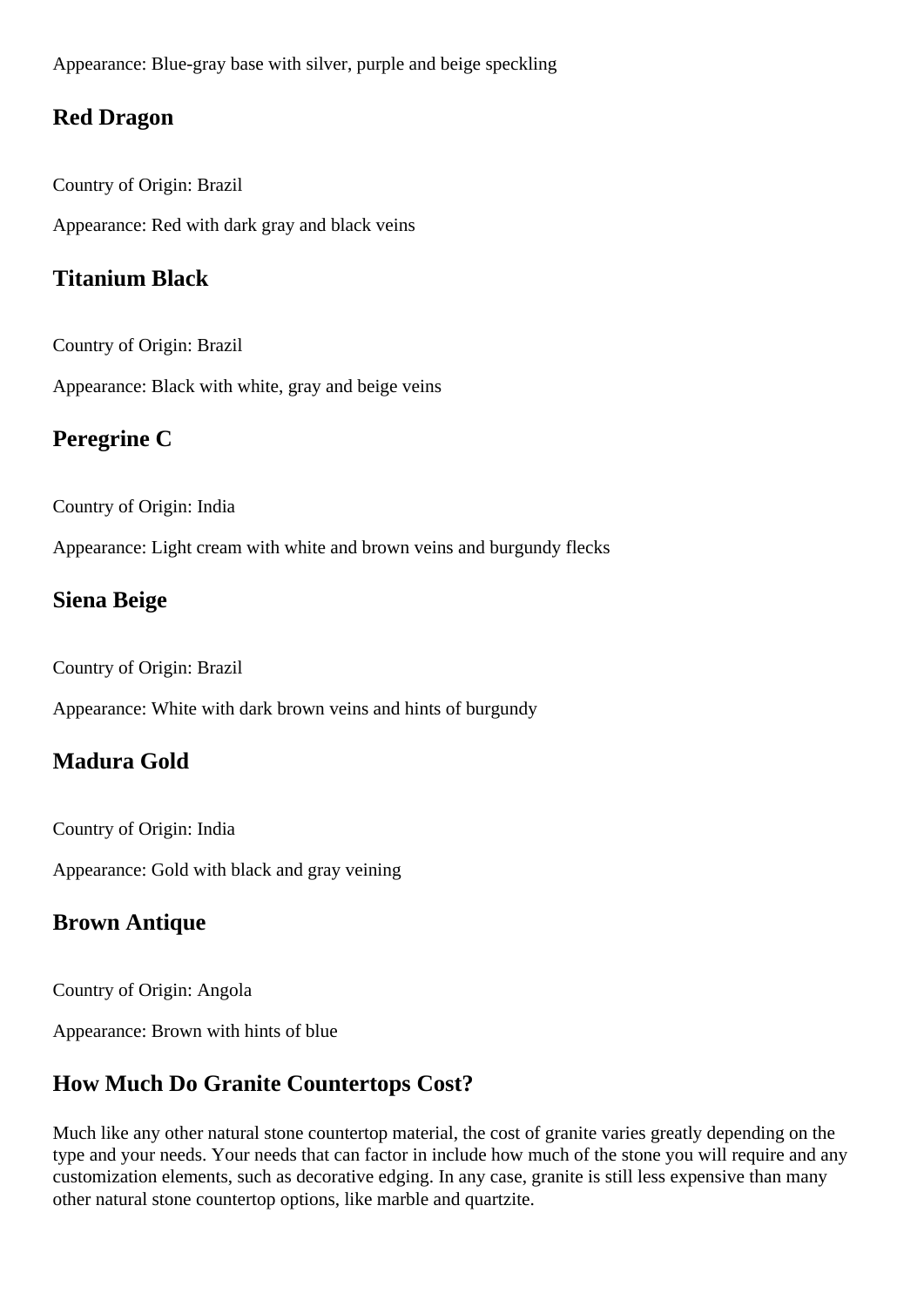<span id="page-8-0"></span>Appearance: Blue-gray base with silver, purple and beige speckling

#### **Red Dragon**

Country of Origin: Brazil Appearance: Red with dark gray and black veins

## **Titanium Black**

Country of Origin: Brazil

Appearance: Black with white, gray and beige veins

## **Peregrine C**

Country of Origin: India

Appearance: Light cream with white and brown veins and burgundy flecks

## **Siena Beige**

Country of Origin: Brazil

Appearance: White with dark brown veins and hints of burgundy

# **Madura Gold**

Country of Origin: India

Appearance: Gold with black and gray veining

# **Brown Antique**

Country of Origin: Angola

Appearance: Brown with hints of blue

# **How Much Do Granite Countertops Cost?**

Much like any other natural stone countertop material, the cost of granite varies greatly depending on the type and your needs. Your needs that can factor in include how much of the stone you will require and any customization elements, such as decorative edging. In any case, granite is still less expensive than many other natural stone countertop options, like marble and quartzite.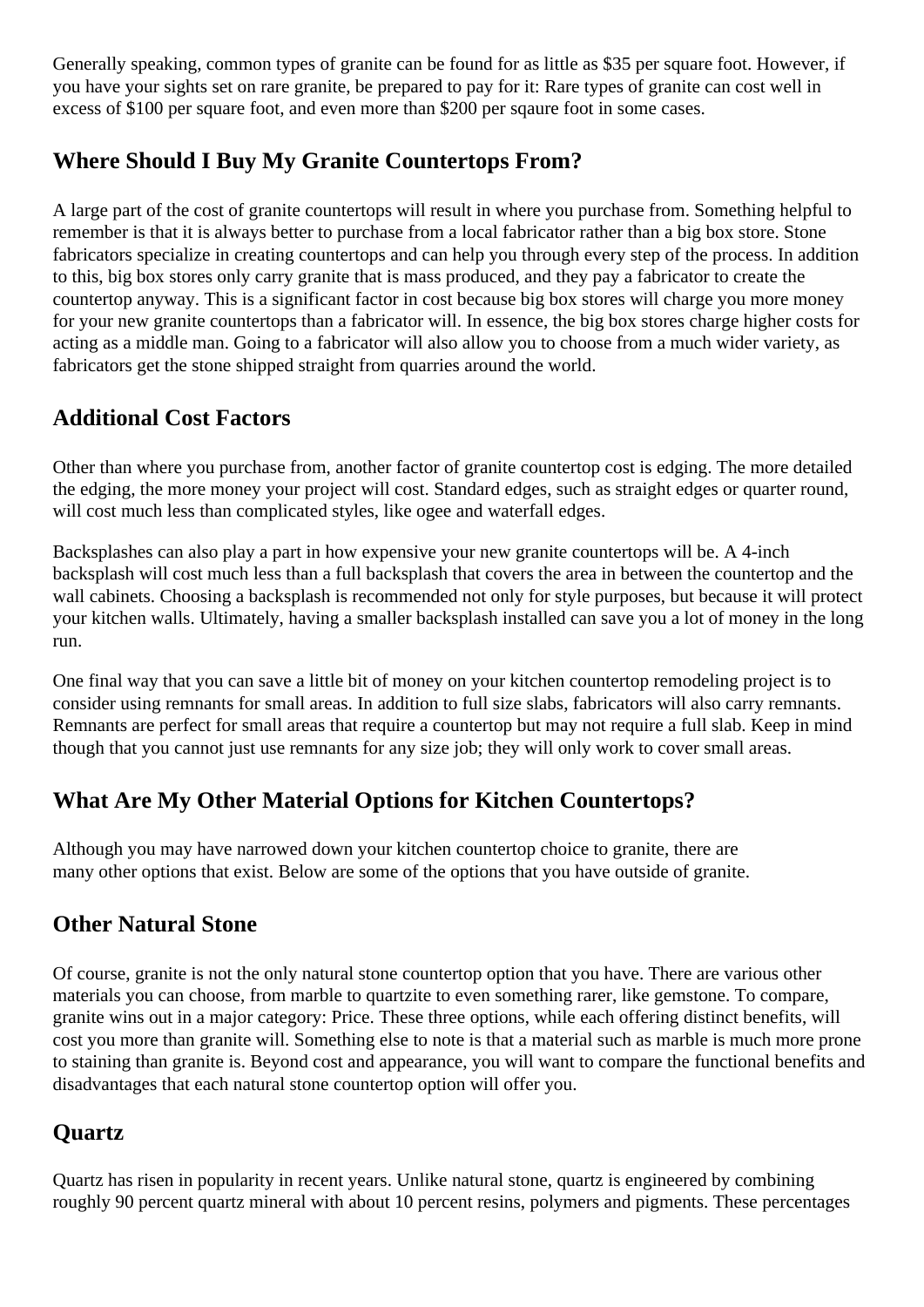<span id="page-9-0"></span>Generally speaking, common types of granite can be found for as little as \$35 per square foot. However, if you have your sights set on rare granite, be prepared to pay for it: Rare types of granite can cost well in excess of \$100 per square foot, and even more than \$200 per sqaure foot in some cases.

## **Where Should I Buy My Granite Countertops From?**

A large part of the cost of granite countertops will result in where you purchase from. Something helpful to remember is that it is always better to purchase from a local fabricator rather than a big box store. Stone fabricators specialize in creating countertops and can help you through every step of the process. In addition to this, big box stores only carry granite that is mass produced, and they pay a fabricator to create the countertop anyway. This is a significant factor in cost because big box stores will charge you more money for your new granite countertops than a fabricator will. In essence, the big box stores charge higher costs for acting as a middle man. Going to a fabricator will also allow you to choose from a much wider variety, as fabricators get the stone shipped straight from quarries around the world.

## **Additional Cost Factors**

Other than where you purchase from, another factor of granite countertop cost is edging. The more detailed the edging, the more money your project will cost. Standard edges, such as straight edges or quarter round, will cost much less than complicated styles, like ogee and waterfall edges.

Backsplashes can also play a part in how expensive your new granite countertops will be. A 4-inch backsplash will cost much less than a full backsplash that covers the area in between the countertop and the wall cabinets. Choosing a backsplash is recommended not only for style purposes, but because it will protect your kitchen walls. Ultimately, having a smaller backsplash installed can save you a lot of money in the long run.

One final way that you can save a little bit of money on your kitchen countertop remodeling project is to consider using remnants for small areas. In addition to full size slabs, fabricators will also carry remnants. Remnants are perfect for small areas that require a countertop but may not require a full slab. Keep in mind though that you cannot just use remnants for any size job; they will only work to cover small areas.

# **What Are My Other Material Options for Kitchen Countertops?**

Although you may have narrowed down your kitchen countertop choice to granite, there are many other options that exist. Below are some of the options that you have outside of granite.

## **Other Natural Stone**

Of course, granite is not the only natural stone countertop option that you have. There are various other materials you can choose, from marble to quartzite to even something rarer, like gemstone. To compare, granite wins out in a major category: Price. These three options, while each offering distinct benefits, will cost you more than granite will. Something else to note is that a material such as marble is much more prone to staining than granite is. Beyond cost and appearance, you will want to compare the functional benefits and disadvantages that each natural stone countertop option will offer you.

# **Quartz**

Quartz has risen in popularity in recent years. Unlike natural stone, quartz is engineered by combining roughly 90 percent quartz mineral with about 10 percent resins, polymers and pigments. These percentages